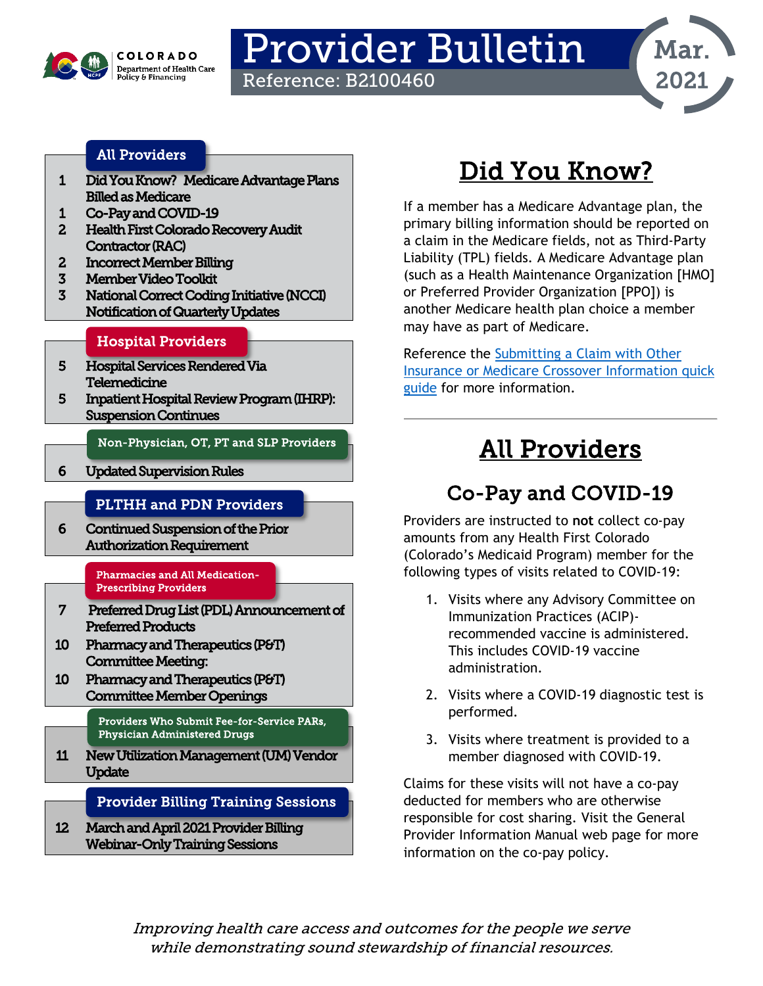

# Provider Bulletin

Reference: B2100460



### [All Providers](#page-0-2)

- [1 Did You Know?](#page-0-0) Medicare Advantage Plans Billed as Medicare
- [1 Co-Pay and COVID-19](#page-0-1)
- [2 Health First Colorado Recovery Audit](#page-1-0)  [Contractor \(RAC\)](#page-1-0)
- [2 Incorrect Member Billing](#page-1-1)
- [3 Member Video Toolkit](#page-2-0)
- [3 National Correct Coding Initiative \(NCCI\)](#page-2-1)  [Notification of Quarterly Updates](#page-2-1)

#### [Hospital Providers](#page-3-0)

- [5 Hospital Services Rendered Via](#page-4-0)  [Telemedicine](#page-4-0)
- [5 Inpatient Hospital Review Program \(IHRP\):](#page-4-1)  [Suspension Continues](#page-4-1)

[Non-Physician, OT, PT and SLP Providers](#page-5-2) 

[6 Updated Supervision Rules](#page-5-0) 

#### [PLTHH and PDN Providers](#page-5-3)

[6 Continued Suspension of the Prior](#page-5-1)  [Authorization Requirement](#page-5-1) 

#### [Pharmacies and All Medication-](#page-6-1)[Prescribing Providers](#page-6-1)

- [7 Preferred Drug List \(PDL\) Announcement of](#page-6-0)  [Preferred Products](#page-6-0)
- [10 Pharmacy and Therapeutics \(P&T\)](#page-9-0)  [Committee Meeting:](#page-9-0)
- [10 Pharmacy and Therapeutics \(P&T\)](#page-9-1)  [Committee Member Openings](#page-9-1)

[Providers Who Submit Fee-for-Service PARs,](#page-10-1)  [Physician Administered Drugs](#page-10-1) 

[11 New Utilization Management \(UM\) Vendor](#page-10-0)  **Update** 

[Provider Billing Training Sessions](#page-11-1) 

[12 March and April 2021 Provider Billing](#page-11-0)  [Webinar-Only Training Sessions](#page-11-0) 

## Did You Know?

<span id="page-0-0"></span>If a member has a Medicare Advantage plan, the primary billing information should be reported on a claim in the Medicare fields, not as Third-Party Liability (TPL) fields. A Medicare Advantage plan (such as a Health Maintenance Organization [HMO] or Preferred Provider Organization [PPO]) is another Medicare health plan choice a member may have as part of Medicare.

Reference the [Submitting a Claim with Other](https://www.colorado.gov/pacific/hcpf/oi-medicare-xover)  [Insurance or Medicare Crossover Information quick](https://www.colorado.gov/pacific/hcpf/oi-medicare-xover)  [guide](https://www.colorado.gov/pacific/hcpf/oi-medicare-xover) for more information.

## All Providers

## <span id="page-0-2"></span>Co-Pay and COVID-19

<span id="page-0-1"></span>Providers are instructed to **not** collect co-pay amounts from any Health First Colorado (Colorado's Medicaid Program) member for the following types of visits related to COVID-19:

- 1. Visits where any Advisory Committee on Immunization Practices (ACIP) recommended vaccine is administered. This includes COVID-19 vaccine administration.
- 2. Visits where a COVID-19 diagnostic test is performed.
- 3. Visits where treatment is provided to a member diagnosed with COVID-19.

Claims for these visits will not have a co-pay deducted for members who are otherwise responsible for cost sharing. Visit the General Provider Information Manual web page for more information on the co-pay policy.

Improving health care access and outcomes for the people we serve while demonstrating sound stewardship of financial resources.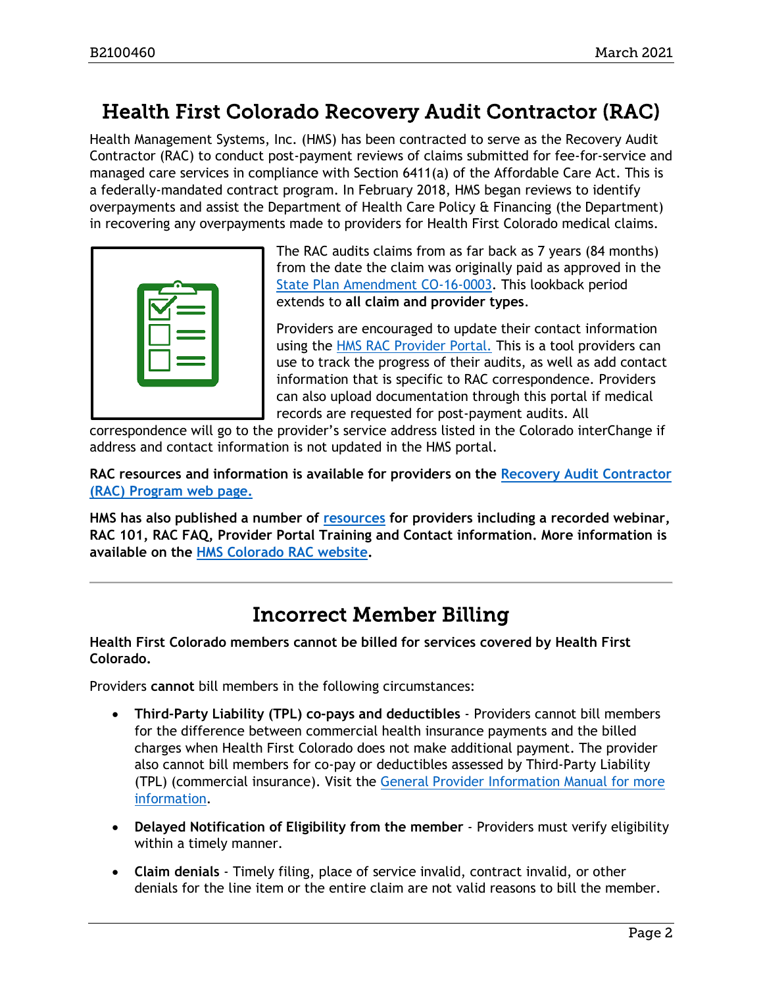## <span id="page-1-0"></span>Health First Colorado Recovery Audit Contractor (RAC)

Health Management Systems, Inc. (HMS) has been contracted to serve as the Recovery Audit Contractor (RAC) to conduct post-payment reviews of claims submitted for fee-for-service and managed care services in compliance with Section 6411(a) of the Affordable Care Act. This is a federally-mandated contract program. In February 2018, HMS began reviews to identify overpayments and assist the Department of Health Care Policy & Financing (the Department) in recovering any overpayments made to providers for Health First Colorado medical claims.



The RAC audits claims from as far back as 7 years (84 months) from the date the claim was originally paid as approved in the [State Plan Amendment CO-16-0003.](https://www.medicaid.gov/sites/default/files/State-resource-center/Medicaid-State-Plan-Amendments/Downloads/CO/CO-16-0003.pdf) This lookback period extends to **all claim and provider types**.

Providers are encouraged to update their contact information using the [HMS RAC Provider Portal.](https://ecenter.hmsy.com/) This is a tool providers can use to track the progress of their audits, as well as add contact information that is specific to RAC correspondence. Providers can also upload documentation through this portal if medical records are requested for post-payment audits. All

correspondence will go to the provider's service address listed in the Colorado interChange if address and contact information is not updated in the HMS portal.

**RAC resources and information is available for providers on the [Recovery Audit Contractor](https://www.colorado.gov/pacific/hcpf/recovery-audit-contractor-rac-program)  [\(RAC\) Program web page.](https://www.colorado.gov/pacific/hcpf/recovery-audit-contractor-rac-program)**

**HMS has also published a number of [resources](https://resources.hms.com/state/colorado/rac) for providers including a recorded webinar, RAC 101, RAC FAQ, Provider Portal Training and Contact information. More information is available on the [HMS Colorado RAC website.](https://resources.hms.com/state/colorado/rac)**

## Incorrect Member Billing

<span id="page-1-1"></span>**Health First Colorado members cannot be billed for services covered by Health First Colorado.**

Providers **cannot** bill members in the following circumstances:

- **Third-Party Liability (TPL) co-pays and deductibles** Providers cannot bill members for the difference between commercial health insurance payments and the billed charges when Health First Colorado does not make additional payment. The provider also cannot bill members for co-pay or deductibles assessed by Third-Party Liability (TPL) (commercial insurance). Visit the [General Provider Information Manual](https://www.colorado.gov/pacific/hcpf/gen-info-manual) for more information.
- **Delayed Notification of Eligibility from the member** Providers must verify eligibility within a timely manner.
- **Claim denials** Timely filing, place of service invalid, contract invalid, or other denials for the line item or the entire claim are not valid reasons to bill the member.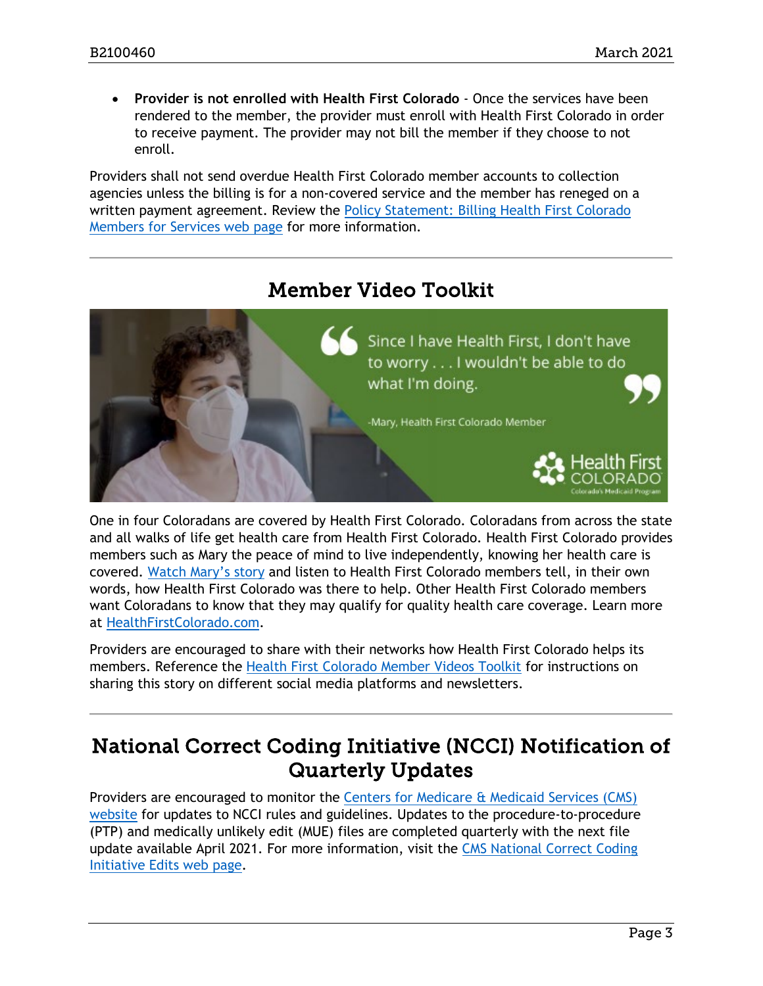• **Provider is not enrolled with Health First Colorado** - Once the services have been rendered to the member, the provider must enroll with Health First Colorado in order to receive payment. The provider may not bill the member if they choose to not enroll.

Providers shall not send overdue Health First Colorado member accounts to collection agencies unless the billing is for a non-covered service and the member has reneged on a written payment agreement. Review the [Policy Statement: Billing Health First Colorado](https://www.colorado.gov/hcpf/policy-statement-billing-medicaid-members-services)  [Members for Services web page](https://www.colorado.gov/hcpf/policy-statement-billing-medicaid-members-services) for more information.

<span id="page-2-0"></span>

One in four Coloradans are covered by Health First Colorado. Coloradans from across the state and all walks of life get health care from Health First Colorado. Health First Colorado provides members such as Mary the peace of mind to live independently, knowing her health care is covered. [Watch Mary's story](https://www.youtube.com/watch?v=tTZqyp-gTAw) and listen to Health First Colorado members tell, in their own words, how Health First Colorado was there to help. Other Health First Colorado members want Coloradans to know that they may qualify for quality health care coverage. Learn more at [HealthFirstColorado.com.](https://urldefense.proofpoint.com/v2/url?u=https-3A__www.healthfirstcolorado.com_&d=DwMFaQ&c=sdnEM9SRGFuMt5z5w3AhsPNahmNicq64TgF1JwNR0cs&r=7cqTsWX0s_ZMj2mUzDz_mtLJZkxdAlORiEVgTjq1VS8&m=GJSWQyq9Ijp1EdelCg4KtI3MQKZsC0ZaRVr79SsxJas&s=SgFV6RdsqSdvQ5ZnIWcHqxYHR690XN33fZrweUuGHJU&e=)

Providers are encouraged to share with their networks how Health First Colorado helps its members. Reference the [Health First Colorado Member Videos Toolkit](https://docs.google.com/document/d/17UTh2-wiPfwjO8EDop2fdxcj9TZW-vwSeu4ppLmg8qs/edit) for instructions on sharing this story on different social media platforms and newsletters.

## <span id="page-2-1"></span>National Correct Coding Initiative (NCCI) Notification of Quarterly Updates

Providers are encouraged to monitor the [Centers for Medicare & Medicaid Services \(CMS\)](https://www.cms.gov/)  [website](https://www.cms.gov/) for updates to NCCI rules and guidelines. Updates to the procedure-to-procedure (PTP) and medically unlikely edit (MUE) files are completed quarterly with the next file update available April 2021. For more information, visit the [CMS National Correct Coding](https://www.cms.gov/Medicare/Coding/NationalCorrectCodInitEd/index.html)  [Initiative Edits web page.](https://www.cms.gov/Medicare/Coding/NationalCorrectCodInitEd/index.html)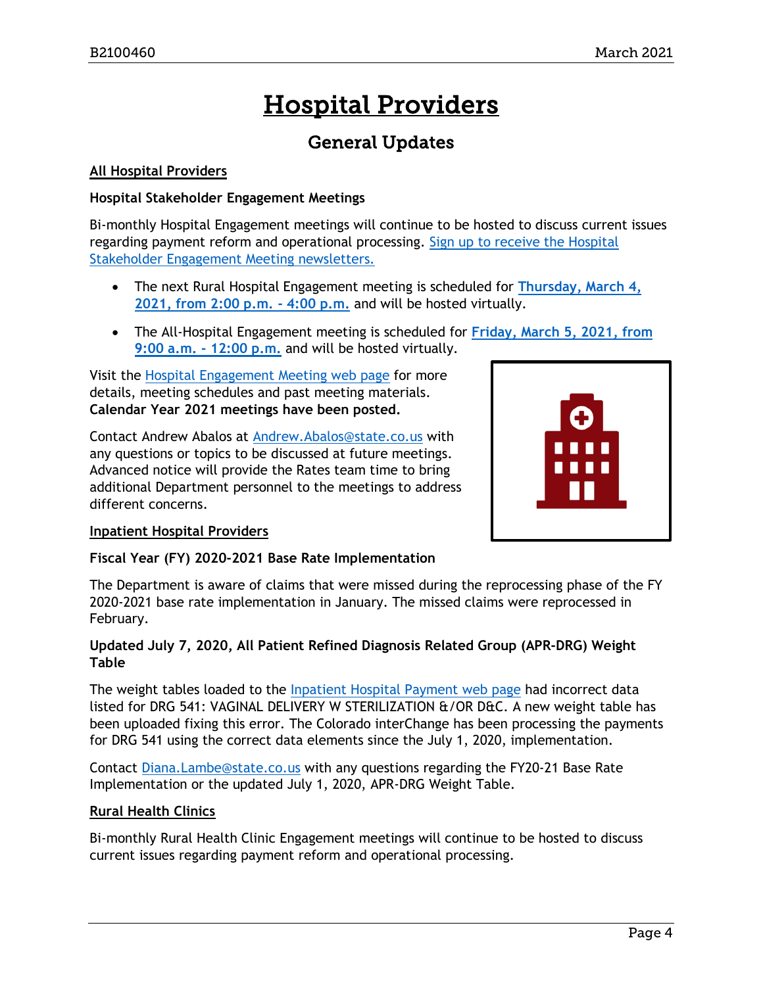## Hospital Providers

## General Updates

#### <span id="page-3-0"></span>**All Hospital Providers**

#### **Hospital Stakeholder Engagement Meetings**

Bi-monthly Hospital Engagement meetings will continue to be hosted to discuss current issues regarding payment reform and operational processing. [Sign up to receive the Hospital](https://visitor.r20.constantcontact.com/manage/optin?v=001HfxrbpGNWZ0lZnPp6t3PG2s9XPNl8ZvgFdjsKvSnhIy8z9JmHyp6DeoLJ3saT6x0SeqRR1ub149uoXxe1ok4jTzfMSQ0BN7S5vcLiRO7gdY%3D)  [Stakeholder Engagement Meeting newsletters.](https://visitor.r20.constantcontact.com/manage/optin?v=001HfxrbpGNWZ0lZnPp6t3PG2s9XPNl8ZvgFdjsKvSnhIy8z9JmHyp6DeoLJ3saT6x0SeqRR1ub149uoXxe1ok4jTzfMSQ0BN7S5vcLiRO7gdY%3D)

- The next Rural Hospital Engagement meeting is scheduled for **[Thursday, March 4,](https://www.colorado.gov/pacific/hcpf/rural-hospital-and-rural-health-clinics)  [2021, from 2:00 p.m. -](https://www.colorado.gov/pacific/hcpf/rural-hospital-and-rural-health-clinics) 4:00 p.m.** and will be hosted virtually.
- The All-Hospital Engagement meeting is scheduled for **[Friday, March 5, 2021, from](https://www.colorado.gov/pacific/hcpf/hospital-stakeholder-engagement-meetings)  [9:00 a.m. -](https://www.colorado.gov/pacific/hcpf/hospital-stakeholder-engagement-meetings) 12:00 p.m.** and will be hosted virtually.

Visit the [Hospital Engagement Meeting web page](https://www.colorado.gov/pacific/hcpf/hospital-stakeholder-engagement-meetings) for more details, meeting schedules and past meeting materials. **Calendar Year 2021 meetings have been posted.**

Contact Andrew Abalos at **Andrew.Abalos@state.co.us** with any questions or topics to be discussed at future meetings. Advanced notice will provide the Rates team time to bring additional Department personnel to the meetings to address different concerns.



#### **Inpatient Hospital Providers**

#### **Fiscal Year (FY) 2020-2021 Base Rate Implementation**

The Department is aware of claims that were missed during the reprocessing phase of the FY 2020-2021 base rate implementation in January. The missed claims were reprocessed in February.

#### **Updated July 7, 2020, All Patient Refined Diagnosis Related Group (APR-DRG) Weight Table**

The weight tables loaded to the [Inpatient Hospital Payment web page](https://www.colorado.gov/hcpf/inpatient-hospital-payment) had incorrect data listed for DRG 541: VAGINAL DELIVERY W STERILIZATION &/OR D&C. A new weight table has been uploaded fixing this error. The Colorado interChange has been processing the payments for DRG 541 using the correct data elements since the July 1, 2020, implementation.

Contact [Diana.Lambe@state.co.us](mailto:Diana.Lambe@state.co.us) with any questions regarding the FY20-21 Base Rate Implementation or the updated July 1, 2020, APR-DRG Weight Table.

#### **Rural Health Clinics**

Bi-monthly Rural Health Clinic Engagement meetings will continue to be hosted to discuss current issues regarding payment reform and operational processing.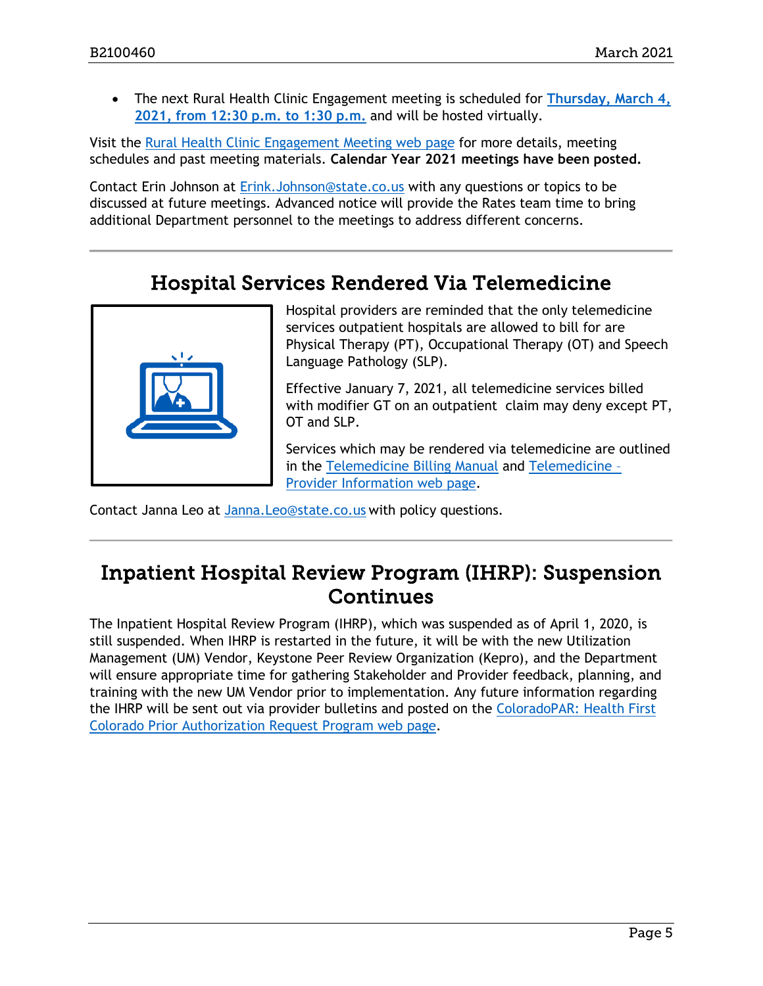• The next Rural Health Clinic Engagement meeting is scheduled for **[Thursday, March 4,](https://www.colorado.gov/pacific/hcpf/rural-hospital-and-rural-health-clinics)  [2021, from 12:30 p.m. to 1:30 p.m.](https://www.colorado.gov/pacific/hcpf/rural-hospital-and-rural-health-clinics)** and will be hosted virtually.

Visit the [Rural Health Clinic Engagement Meeting web page](https://www.colorado.gov/pacific/hcpf/rural-hospital-and-rural-health-clinics) for more details, meeting schedules and past meeting materials. **Calendar Year 2021 meetings have been posted.**

Contact Erin Johnson at [Erink.Johnson@state.co.us](mailto:Erink.Johnson@state.co.us) with any questions or topics to be discussed at future meetings. Advanced notice will provide the Rates team time to bring additional Department personnel to the meetings to address different concerns.

## Hospital Services Rendered Via Telemedicine

<span id="page-4-0"></span>

Hospital providers are reminded that the only telemedicine services outpatient hospitals are allowed to bill for are Physical Therapy (PT), Occupational Therapy (OT) and Speech Language Pathology (SLP).

Effective January 7, 2021, all telemedicine services billed with modifier GT on an outpatient claim may deny except PT, OT and SLP.

Services which may be rendered via telemedicine are outlined in the [Telemedicine Billing Manual](https://www.colorado.gov/pacific/hcpf/telemedicine-manual) and [Telemedicine –](https://www.colorado.gov/pacific/hcpf/provider-telemedicine) [Provider Information web page.](https://www.colorado.gov/pacific/hcpf/provider-telemedicine)

Contact Janna Leo at [Janna.Leo@state.co.us](mailto:Janna.Leo@state.co.us) with policy questions.

### <span id="page-4-1"></span>Inpatient Hospital Review Program (IHRP): Suspension **Continues**

The Inpatient Hospital Review Program (IHRP), which was suspended as of April 1, 2020, is still suspended. When IHRP is restarted in the future, it will be with the new Utilization Management (UM) Vendor, Keystone Peer Review Organization (Kepro), and the Department will ensure appropriate time for gathering Stakeholder and Provider feedback, planning, and training with the new UM Vendor prior to implementation. Any future information regarding the IHRP will be sent out via provider bulletins and posted on the [ColoradoPAR: Health First](https://www.colorado.gov/hcpf/par)  [Colorado Prior Authorization Request Program web page.](https://www.colorado.gov/hcpf/par)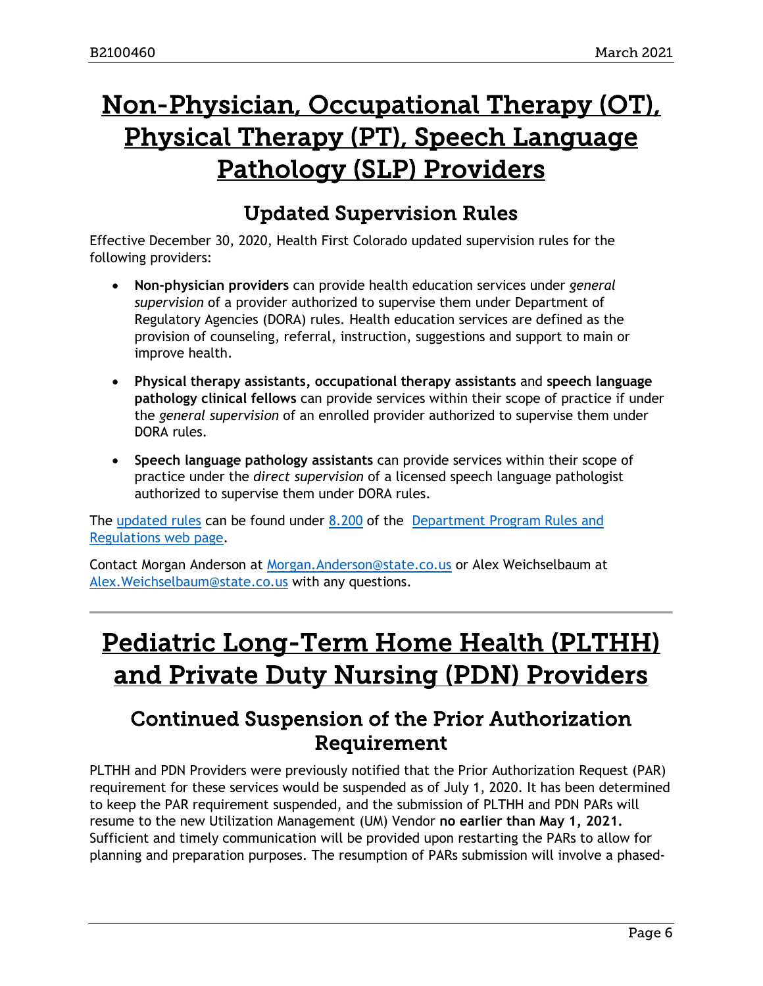## <span id="page-5-2"></span>Non-Physician, Occupational Therapy (OT), Physical Therapy (PT), Speech Language Pathology (SLP) Providers

## Updated Supervision Rules

<span id="page-5-0"></span>Effective December 30, 2020, Health First Colorado updated supervision rules for the following providers:

- **Non-physician providers** can provide health education services under *general supervision* of a provider authorized to supervise them under Department of Regulatory Agencies (DORA) rules. Health education services are defined as the provision of counseling, referral, instruction, suggestions and support to main or improve health.
- **Physical therapy assistants, occupational therapy assistants** and **speech language pathology clinical fellows** can provide services within their scope of practice if under the *general supervision* of an enrolled provider authorized to supervise them under DORA rules.
- **Speech language pathology assistants** can provide services within their scope of practice under the *direct supervision* of a licensed speech language pathologist authorized to supervise them under DORA rules.

The updated rules can be found under [8.200](https://www.sos.state.co.us/CCR/DisplayRule.do?action=ruleinfo&ruleId=2919&deptID=7&agencyID=69&deptName=2505,1305%20Department%20of%20Health%20Care%20Policy%20and%20Financing&agencyName=2505%20Medical%20Services%20Board%20(Volume%208;%20Medical%20Assistance,%20Children%27s%20Health%20Plan)&seriesNum=10%20CCR%202505-10%208.200) of the [Department Program Rules and](https://www.colorado.gov/pacific/hcpf/department-program-rules-and-regulations)  [Regulations web page.](https://www.colorado.gov/pacific/hcpf/department-program-rules-and-regulations)

Contact Morgan Anderson at [Morgan.Anderson@state.co.us](mailto:Morgan.Anderson@state.co.us) or Alex Weichselbaum at Alex. Weichselbaum@state.co.us with any questions.

## <span id="page-5-3"></span>Pediatric Long-Term Home Health (PLTHH) and Private Duty Nursing (PDN) Providers

### <span id="page-5-1"></span>Continued Suspension of the Prior Authorization Requirement

PLTHH and PDN Providers were previously notified that the Prior Authorization Request (PAR) requirement for these services would be suspended as of July 1, 2020. It has been determined to keep the PAR requirement suspended, and the submission of PLTHH and PDN PARs will resume to the new Utilization Management (UM) Vendor **no earlier than May 1, 2021.** Sufficient and timely communication will be provided upon restarting the PARs to allow for planning and preparation purposes. The resumption of PARs submission will involve a phased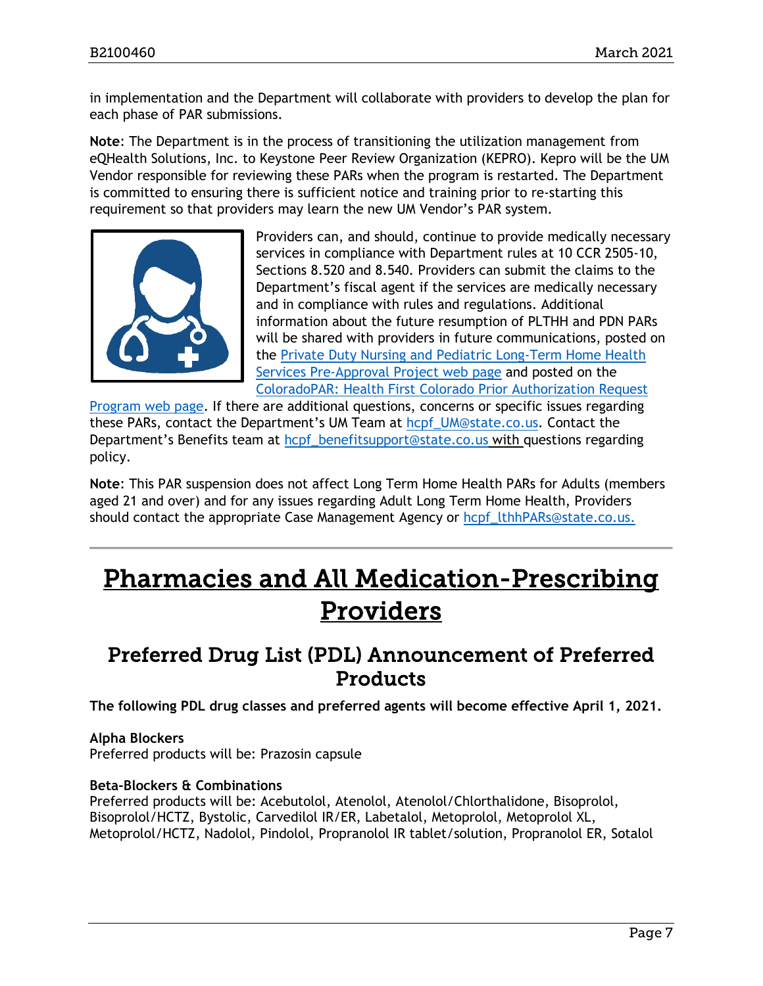in implementation and the Department will collaborate with providers to develop the plan for each phase of PAR submissions.

**Note**: The Department is in the process of transitioning the utilization management from eQHealth Solutions, Inc. to Keystone Peer Review Organization (KEPRO). Kepro will be the UM Vendor responsible for reviewing these PARs when the program is restarted. The Department is committed to ensuring there is sufficient notice and training prior to re-starting this requirement so that providers may learn the new UM Vendor's PAR system.



Providers can, and should, continue to provide medically necessary services in compliance with Department rules at 10 CCR 2505-10, Sections 8.520 and 8.540. Providers can submit the claims to the Department's fiscal agent if the services are medically necessary and in compliance with rules and regulations. Additional information about the future resumption of PLTHH and PDN PARs will be shared with providers in future communications, posted on the [Private Duty Nursing and Pediatric Long-Term Home Health](https://www.colorado.gov/pacific/hcpf/private-duty-nursing-and-pediatric-long-term-home-health-services-pre-approval-project)  [Services Pre-Approval Project web page](https://www.colorado.gov/pacific/hcpf/private-duty-nursing-and-pediatric-long-term-home-health-services-pre-approval-project) and posted on the [ColoradoPAR: Health First Colorado Prior Authorization Request](https://www.colorado.gov/pacific/hcpf/par) 

[Program web page.](https://www.colorado.gov/pacific/hcpf/par) If there are additional questions, concerns or specific issues regarding these PARs, contact the Department's UM Team at [hcpf\\_UM@state.co.us.](mailto:hcpf_UM@state.co.us) Contact the Department's Benefits team at [hcpf\\_benefitsupport@state.co.us](mailto:hcpf_benefitsupport@state.co.us) with questions regarding policy.

**Note**: This PAR suspension does not affect Long Term Home Health PARs for Adults (members aged 21 and over) and for any issues regarding Adult Long Term Home Health, Providers should contact the appropriate Case Management Agency or [hcpf\\_lthhPARs@state.co.us.](mailto:hcpf_lthhPARs@state.co.us.)

## <span id="page-6-1"></span>Pharmacies and All Medication-Prescribing Providers

### <span id="page-6-0"></span>Preferred Drug List (PDL) Announcement of Preferred Products

**The following PDL drug classes and preferred agents will become effective April 1, 2021.**

#### **Alpha Blockers** Preferred products will be: Prazosin capsule

#### **Beta-Blockers & Combinations**

Preferred products will be: Acebutolol, Atenolol, Atenolol/Chlorthalidone, Bisoprolol, Bisoprolol/HCTZ, Bystolic, Carvedilol IR/ER, Labetalol, Metoprolol, Metoprolol XL, Metoprolol/HCTZ, Nadolol, Pindolol, Propranolol IR tablet/solution, Propranolol ER, Sotalol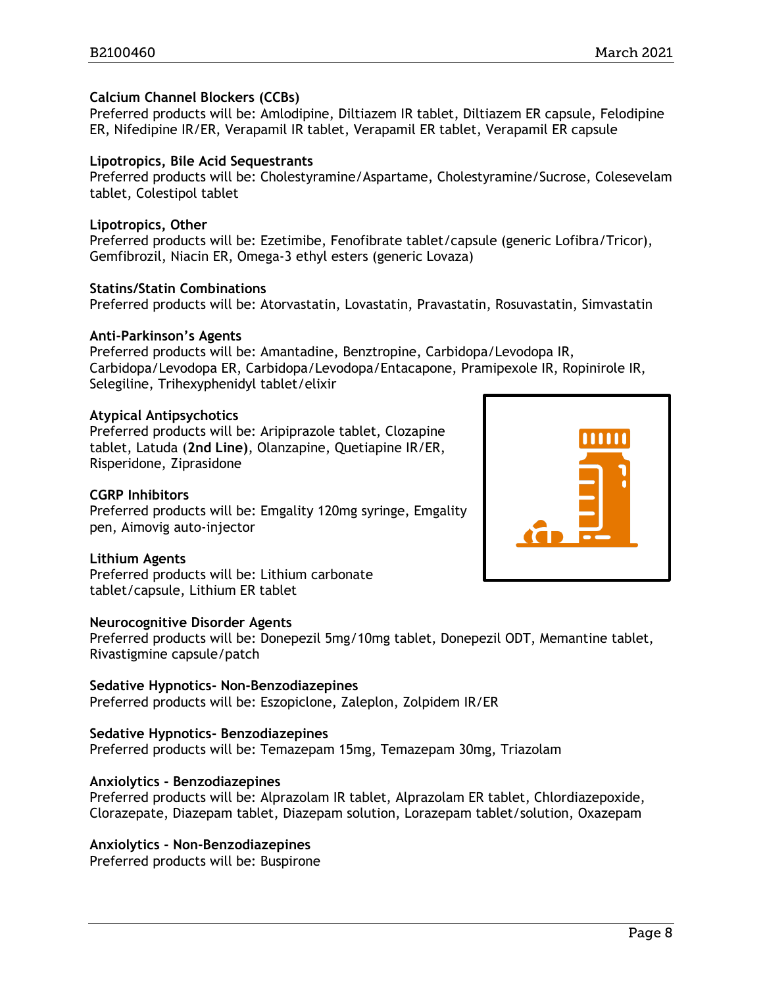#### **Calcium Channel Blockers (CCBs)**

Preferred products will be: Amlodipine, Diltiazem IR tablet, Diltiazem ER capsule, Felodipine ER, Nifedipine IR/ER, Verapamil IR tablet, Verapamil ER tablet, Verapamil ER capsule

#### **Lipotropics, Bile Acid Sequestrants**

Preferred products will be: Cholestyramine/Aspartame, Cholestyramine/Sucrose, Colesevelam tablet, Colestipol tablet

#### **Lipotropics, Other**

Preferred products will be: Ezetimibe, Fenofibrate tablet/capsule (generic Lofibra/Tricor), Gemfibrozil, Niacin ER, Omega-3 ethyl esters (generic Lovaza)

#### **Statins/Statin Combinations**

Preferred products will be: Atorvastatin, Lovastatin, Pravastatin, Rosuvastatin, Simvastatin

#### **Anti-Parkinson's Agents**

Preferred products will be: Amantadine, Benztropine, Carbidopa/Levodopa IR, Carbidopa/Levodopa ER, Carbidopa/Levodopa/Entacapone, Pramipexole IR, Ropinirole IR, Selegiline, Trihexyphenidyl tablet/elixir

#### **Atypical Antipsychotics**

Preferred products will be: Aripiprazole tablet, Clozapine tablet, Latuda (**2nd Line)**, Olanzapine, Quetiapine IR/ER, Risperidone, Ziprasidone

#### **CGRP Inhibitors**

Preferred products will be: Emgality 120mg syringe, Emgality pen, Aimovig auto-injector

#### **Lithium Agents**

Preferred products will be: Lithium carbonate tablet/capsule, Lithium ER tablet

#### **Neurocognitive Disorder Agents**

Preferred products will be: Donepezil 5mg/10mg tablet, Donepezil ODT, Memantine tablet, Rivastigmine capsule/patch

#### **Sedative Hypnotics- Non-Benzodiazepines**

Preferred products will be: Eszopiclone, Zaleplon, Zolpidem IR/ER

#### **Sedative Hypnotics- Benzodiazepines**

Preferred products will be: Temazepam 15mg, Temazepam 30mg, Triazolam

#### **Anxiolytics - Benzodiazepines**

Preferred products will be: Alprazolam IR tablet, Alprazolam ER tablet, Chlordiazepoxide, Clorazepate, Diazepam tablet, Diazepam solution, Lorazepam tablet/solution, Oxazepam

#### **Anxiolytics - Non-Benzodiazepines**

Preferred products will be: Buspirone

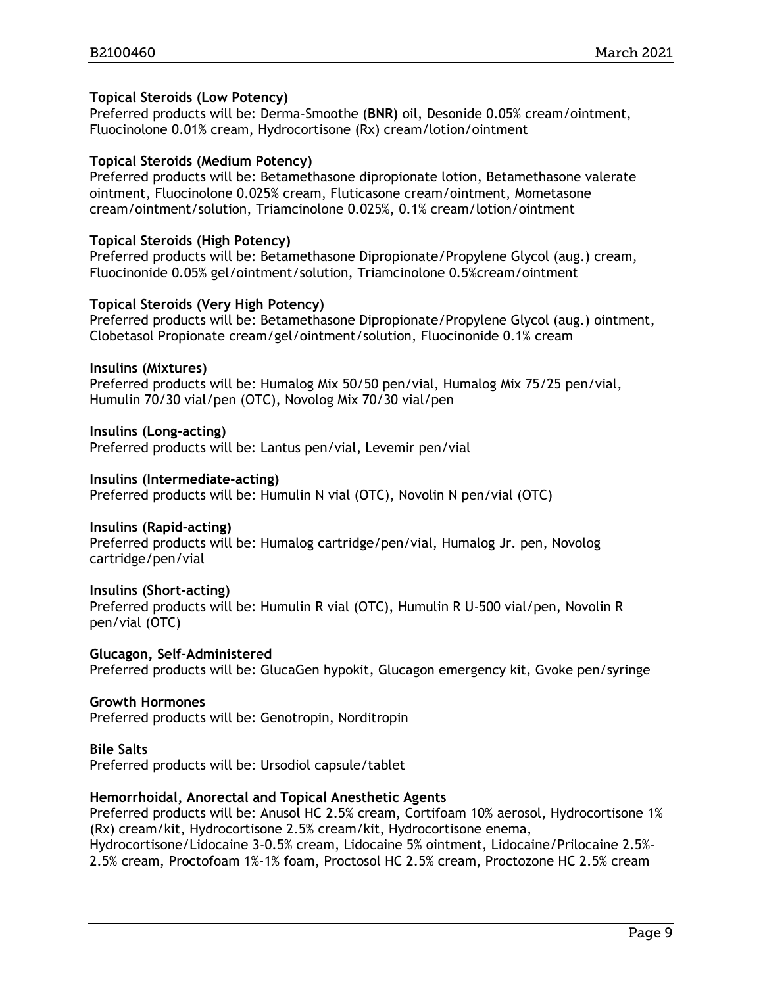#### **Topical Steroids (Low Potency)**

Preferred products will be: Derma-Smoothe (**BNR)** oil, Desonide 0.05% cream/ointment, Fluocinolone 0.01% cream, Hydrocortisone (Rx) cream/lotion/ointment

#### **Topical Steroids (Medium Potency)**

Preferred products will be: Betamethasone dipropionate lotion, Betamethasone valerate ointment, Fluocinolone 0.025% cream, Fluticasone cream/ointment, Mometasone cream/ointment/solution, Triamcinolone 0.025%, 0.1% cream/lotion/ointment

#### **Topical Steroids (High Potency)**

Preferred products will be: Betamethasone Dipropionate/Propylene Glycol (aug.) cream, Fluocinonide 0.05% gel/ointment/solution, Triamcinolone 0.5%cream/ointment

#### **Topical Steroids (Very High Potency)**

Preferred products will be: Betamethasone Dipropionate/Propylene Glycol (aug.) ointment, Clobetasol Propionate cream/gel/ointment/solution, Fluocinonide 0.1% cream

#### **Insulins (Mixtures)**

Preferred products will be: Humalog Mix 50/50 pen/vial, Humalog Mix 75/25 pen/vial, Humulin 70/30 vial/pen (OTC), Novolog Mix 70/30 vial/pen

#### **Insulins (Long-acting)**

Preferred products will be: Lantus pen/vial, Levemir pen/vial

#### **Insulins (Intermediate-acting)**

Preferred products will be: Humulin N vial (OTC), Novolin N pen/vial (OTC)

#### **Insulins (Rapid-acting)**

Preferred products will be: Humalog cartridge/pen/vial, Humalog Jr. pen, Novolog cartridge/pen/vial

#### **Insulins (Short-acting)**

Preferred products will be: Humulin R vial (OTC), Humulin R U-500 vial/pen, Novolin R pen/vial (OTC)

**Glucagon, Self–Administered** Preferred products will be: GlucaGen hypokit, Glucagon emergency kit, Gvoke pen/syringe

#### **Growth Hormones**

Preferred products will be: Genotropin, Norditropin

#### **Bile Salts**

Preferred products will be: Ursodiol capsule/tablet

#### **Hemorrhoidal, Anorectal and Topical Anesthetic Agents**

Preferred products will be: Anusol HC 2.5% cream, Cortifoam 10% aerosol, Hydrocortisone 1% (Rx) cream/kit, Hydrocortisone 2.5% cream/kit, Hydrocortisone enema, Hydrocortisone/Lidocaine 3-0.5% cream, Lidocaine 5% ointment, Lidocaine/Prilocaine 2.5%-

2.5% cream, Proctofoam 1%-1% foam, Proctosol HC 2.5% cream, Proctozone HC 2.5% cream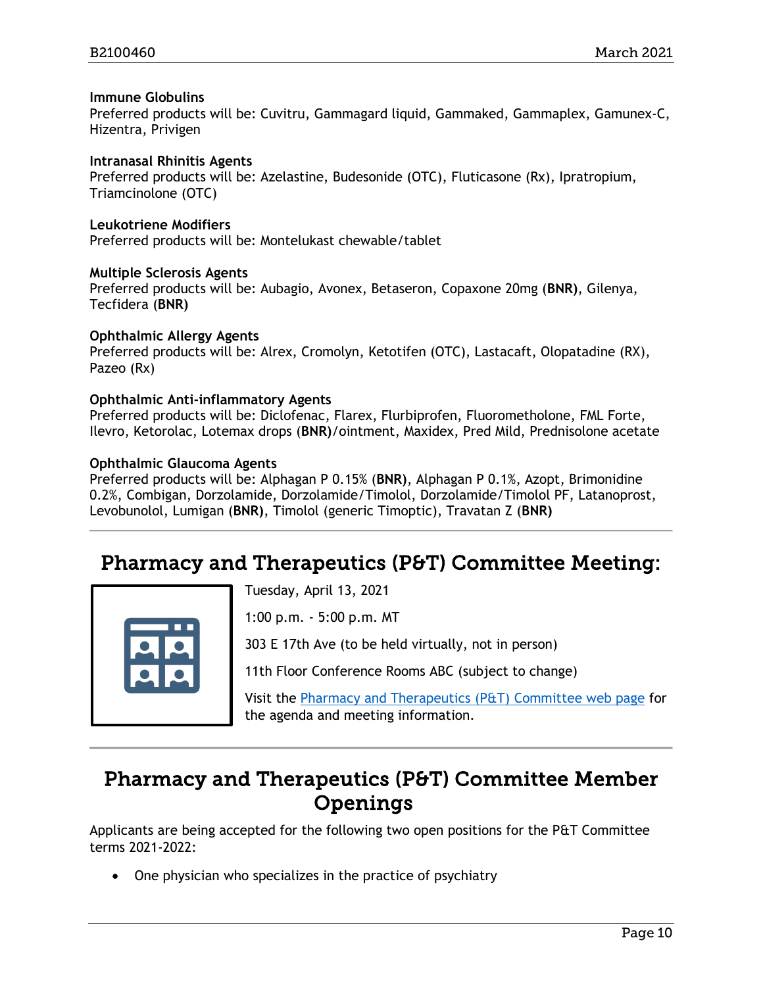#### **Immune Globulins**

Preferred products will be: Cuvitru, Gammagard liquid, Gammaked, Gammaplex, Gamunex-C, Hizentra, Privigen

#### **Intranasal Rhinitis Agents**

Preferred products will be: Azelastine, Budesonide (OTC), Fluticasone (Rx), Ipratropium, Triamcinolone (OTC)

**Leukotriene Modifiers**

Preferred products will be: Montelukast chewable/tablet

#### **Multiple Sclerosis Agents**

Preferred products will be: Aubagio, Avonex, Betaseron, Copaxone 20mg (**BNR)**, Gilenya, Tecfidera (**BNR)**

#### **Ophthalmic Allergy Agents**

Preferred products will be: Alrex, Cromolyn, Ketotifen (OTC), Lastacaft, Olopatadine (RX), Pazeo (Rx)

#### **Ophthalmic Anti-inflammatory Agents**

Preferred products will be: Diclofenac, Flarex, Flurbiprofen, Fluorometholone, FML Forte, Ilevro, Ketorolac, Lotemax drops (**BNR)**/ointment, Maxidex, Pred Mild, Prednisolone acetate

#### **Ophthalmic Glaucoma Agents**

Preferred products will be: Alphagan P 0.15% (**BNR)**, Alphagan P 0.1%, Azopt, Brimonidine 0.2%, Combigan, Dorzolamide, Dorzolamide/Timolol, Dorzolamide/Timolol PF, Latanoprost, Levobunolol, Lumigan (**BNR)**, Timolol (generic Timoptic), Travatan Z (**BNR)**

### <span id="page-9-0"></span>Pharmacy and Therapeutics (P&T) Committee Meeting:



Tuesday, April 13, 2021

1:00 p.m. - 5:00 p.m. MT

303 E 17th Ave (to be held virtually, not in person)

11th Floor Conference Rooms ABC (subject to change)

Visit the [Pharmacy and Therapeutics \(P&T\) Committee web page](https://www.colorado.gov/hcpf/pharmacy-and-therapeutics-committee) for the agenda and meeting information.

### <span id="page-9-1"></span>Pharmacy and Therapeutics (P&T) Committee Member **Openings**

Applicants are being accepted for the following two open positions for the P&T Committee terms 2021-2022:

• One physician who specializes in the practice of psychiatry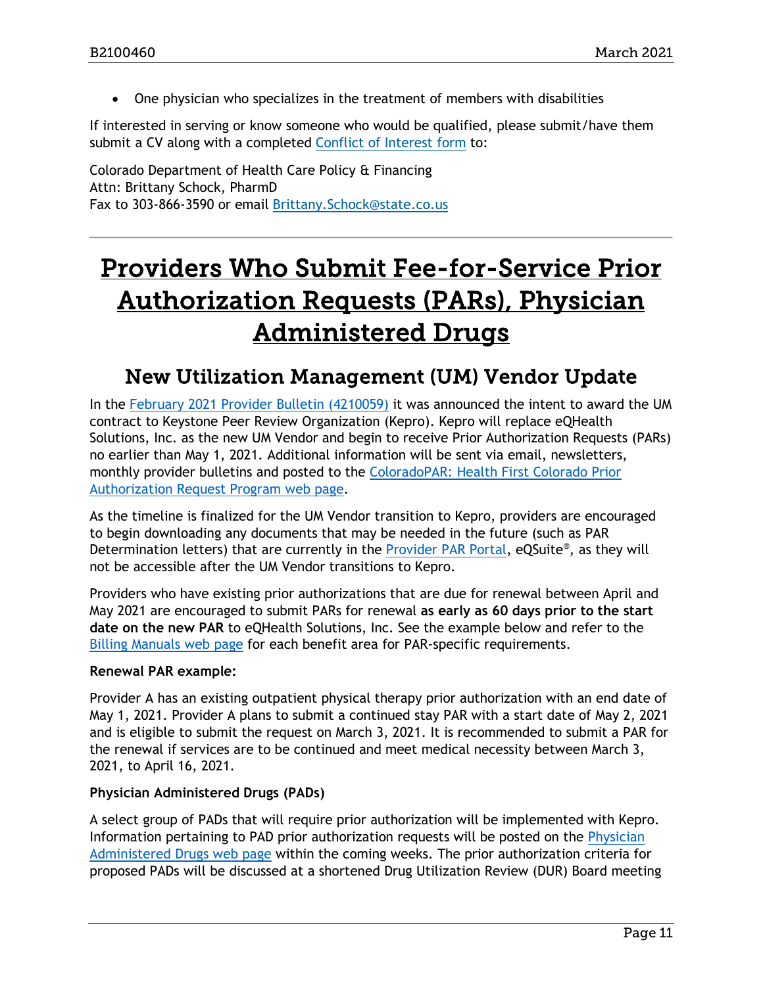• One physician who specializes in the treatment of members with disabilities

If interested in serving or know someone who would be qualified, please submit/have them submit a CV along with a completed [Conflict of Interest form](https://www.colorado.gov/pacific/sites/default/files/PT%20Conflict%20of%20interest%20form%20Sept19.pdf) to:

Colorado Department of Health Care Policy & Financing Attn: Brittany Schock, PharmD Fax to 303-866-3590 or email [Brittany.Schock@state.co.us](mailto:Brittany.Schock@state.co.us)

## <span id="page-10-1"></span>Providers Who Submit Fee-for-Service Prior Authorization Requests (PARs), Physician Administered Drugs

### <span id="page-10-0"></span>New Utilization Management (UM) Vendor Update

In the [February 2021 Provider Bulletin \(4210059\)](https://www.colorado.gov/pacific/hcpf/bulletins) it was announced the intent to award the UM contract to Keystone Peer Review Organization (Kepro). Kepro will replace eQHealth Solutions, Inc. as the new UM Vendor and begin to receive Prior Authorization Requests (PARs) no earlier than May 1, 2021. Additional information will be sent via email, newsletters, monthly provider bulletins and posted to the [ColoradoPAR: Health First Colorado Prior](https://www.colorado.gov/hcpf/par)  [Authorization Request Program web page.](https://www.colorado.gov/hcpf/par)

As the timeline is finalized for the UM Vendor transition to Kepro, providers are encouraged to begin downloading any documents that may be needed in the future (such as PAR Determination letters) that are currently in the [Provider PAR Portal,](https://cowebapps.eqhs.org/webportal/login.aspx) eQSuite®, as they will not be accessible after the UM Vendor transitions to Kepro.

Providers who have existing prior authorizations that are due for renewal between April and May 2021 are encouraged to submit PARs for renewal **as early as 60 days prior to the start date on the new PAR** to eQHealth Solutions, Inc. See the example below and refer to the [Billing Manuals web page](https://www.colorado.gov/pacific/hcpf/billing-manuals) for each benefit area for PAR-specific requirements.

#### **Renewal PAR example:**

Provider A has an existing outpatient physical therapy prior authorization with an end date of May 1, 2021. Provider A plans to submit a continued stay PAR with a start date of May 2, 2021 and is eligible to submit the request on March 3, 2021. It is recommended to submit a PAR for the renewal if services are to be continued and meet medical necessity between March 3, 2021, to April 16, 2021.

#### **Physician Administered Drugs (PADs)**

A select group of PADs that will require prior authorization will be implemented with Kepro. Information pertaining to PAD prior authorization requests will be posted on the [Physician](https://www.colorado.gov/pacific/hcpf/physician-administered-drugs)  [Administered Drugs web page](https://www.colorado.gov/pacific/hcpf/physician-administered-drugs) within the coming weeks. The prior authorization criteria for proposed PADs will be discussed at a shortened Drug Utilization Review (DUR) Board meeting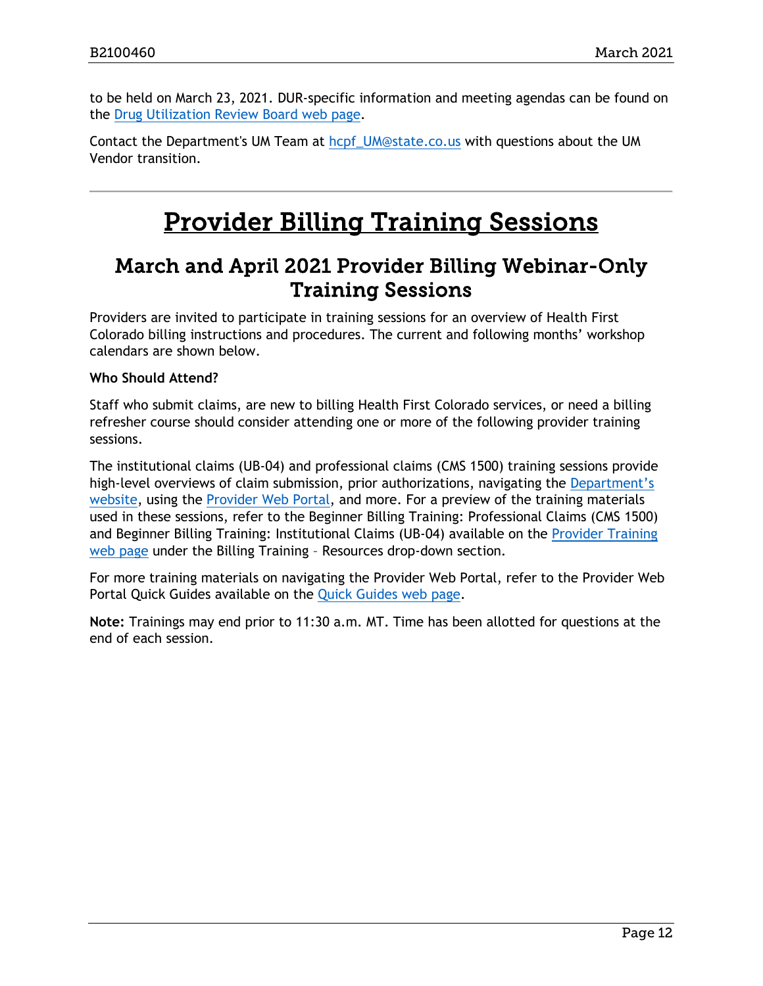to be held on March 23, 2021. DUR-specific information and meeting agendas can be found on the [Drug Utilization Review Board web page.](https://www.colorado.gov/hcpf/drug-utilization-review-board)

Contact the Department's UM Team at [hcpf\\_UM@state.co.us](mailto:hcpf_UM@state.co.us) with questions about the UM Vendor transition.

## Provider Billing Training Sessions

### <span id="page-11-1"></span><span id="page-11-0"></span>March and April 2021 Provider Billing Webinar-Only Training Sessions

Providers are invited to participate in training sessions for an overview of Health First Colorado billing instructions and procedures. The current and following months' workshop calendars are shown below.

#### **Who Should Attend?**

Staff who submit claims, are new to billing Health First Colorado services, or need a billing refresher course should consider attending one or more of the following provider training sessions.

The institutional claims (UB-04) and professional claims (CMS 1500) training sessions provide high-level overviews of claim submission, prior authorizations, navigating the Department's [website,](https://www.colorado.gov/hcpf/) using the [Provider Web Portal,](https://colorado-hcp-portal.xco.dcs-usps.com/hcp/provider/Home/tabid/135/Default.aspx) and more. For a preview of the training materials used in these sessions, refer to the Beginner Billing Training: Professional Claims (CMS 1500) and Beginner Billing Training: Institutional Claims (UB-04) available on the [Provider Training](https://www.colorado.gov/pacific/hcpf/provider-training)  [web page](https://www.colorado.gov/pacific/hcpf/provider-training) under the Billing Training – Resources drop-down section.

For more training materials on navigating the Provider Web Portal, refer to the Provider Web Portal Quick Guides available on the [Quick Guides web page.](https://www.colorado.gov/hcpf/interchange-resources)

**Note:** Trainings may end prior to 11:30 a.m. MT. Time has been allotted for questions at the end of each session.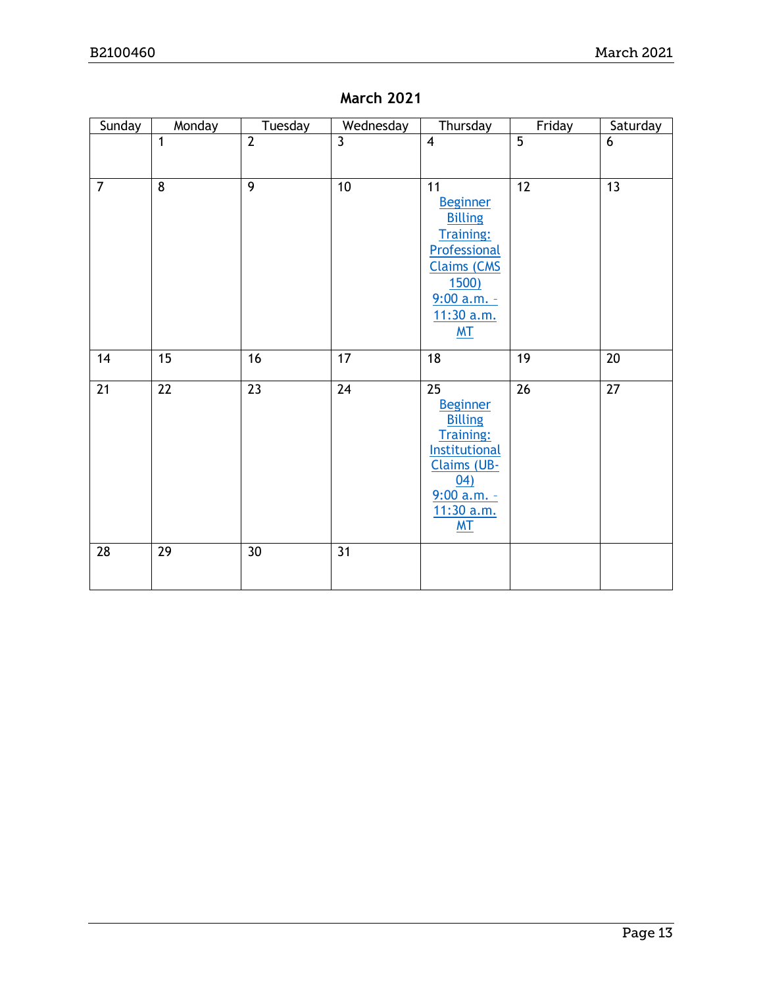| Sunday          | Monday          | Tuesday         | Wednesday       | Thursday                                                                                                                                                           | Friday          | Saturday        |
|-----------------|-----------------|-----------------|-----------------|--------------------------------------------------------------------------------------------------------------------------------------------------------------------|-----------------|-----------------|
|                 | 1               | $\overline{2}$  | $\overline{3}$  | $\overline{4}$                                                                                                                                                     | $\overline{5}$  | 6               |
| $\overline{7}$  | $\overline{8}$  | $\overline{9}$  | $\overline{10}$ | 11<br><b>Beginner</b><br><b>Billing</b><br><b>Training:</b><br>Professional<br><b>Claims (CMS</b><br><b>1500)</b><br>$9:00 a.m. -$<br>11:30 a.m.<br>M <sub>T</sub> | 12              | $\overline{13}$ |
| 14              | $\overline{15}$ | 16              | 17              | 18                                                                                                                                                                 | 19              | $\overline{20}$ |
| $\overline{21}$ | $\overline{22}$ | 23              | $\overline{24}$ | $\overline{25}$<br><b>Beginner</b><br><b>Billing</b><br><b>Training:</b><br>Institutional<br>Claims (UB-<br>04)<br>$9:00$ a.m. -<br>11:30 a.m.<br>M <sub>T</sub>   | $\overline{26}$ | $\overline{27}$ |
| 28              | $\overline{29}$ | 30 <sup>°</sup> | 31              |                                                                                                                                                                    |                 |                 |

### **March 2021**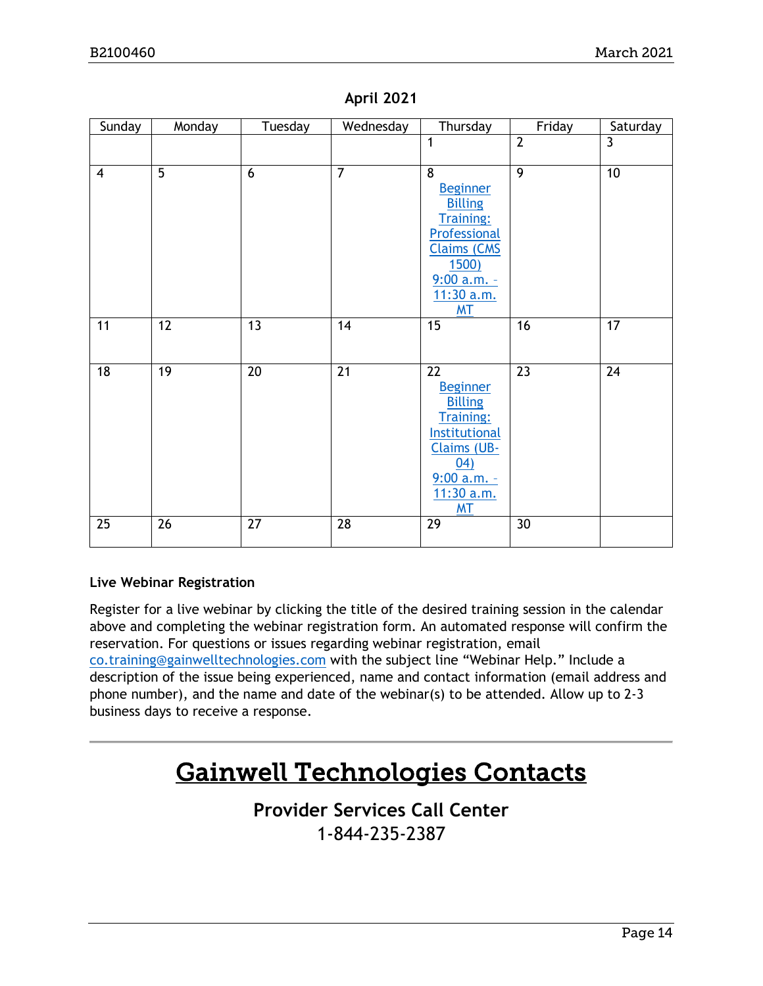| Sunday         | Monday         | Tuesday         | Wednesday      | Thursday                          | Friday         | Saturday        |
|----------------|----------------|-----------------|----------------|-----------------------------------|----------------|-----------------|
|                |                |                 |                | $\mathbf{1}$                      | $\overline{2}$ | $\overline{3}$  |
| $\overline{4}$ | $\overline{5}$ | 6               | $\overline{7}$ | $\overline{8}$                    | $\overline{9}$ | 10              |
|                |                |                 |                | <b>Beginner</b>                   |                |                 |
|                |                |                 |                | <b>Billing</b>                    |                |                 |
|                |                |                 |                | <b>Training:</b><br>Professional  |                |                 |
|                |                |                 |                | <b>Claims (CMS</b>                |                |                 |
|                |                |                 |                | <b>1500)</b>                      |                |                 |
|                |                |                 |                | $9:00$ a.m. -<br>11:30 a.m.       |                |                 |
|                |                |                 |                | <b>MT</b>                         |                |                 |
| 11             | 12             | 13              | 14             | 15                                | 16             | 17              |
|                |                |                 |                |                                   |                |                 |
| 18             | 19             | 20              | 21             | 22                                | 23             | $\overline{24}$ |
|                |                |                 |                | <b>Beginner</b><br><b>Billing</b> |                |                 |
|                |                |                 |                | <b>Training:</b>                  |                |                 |
|                |                |                 |                | Institutional                     |                |                 |
|                |                |                 |                | Claims (UB-<br>(04)               |                |                 |
|                |                |                 |                | $9:00 a.m. -$                     |                |                 |
|                |                |                 |                | 11:30 a.m.                        |                |                 |
| 25             | 26             | $\overline{27}$ | 28             | <b>MT</b><br>29                   | 30             |                 |
|                |                |                 |                |                                   |                |                 |

#### **April 2021**

#### **Live Webinar Registration**

Register for a live webinar by clicking the title of the desired training session in the calendar above and completing the webinar registration form. An automated response will confirm the reservation. For questions or issues regarding webinar registration, email [co.training@gainwelltechnologies.com](mailto:co.training@gainwelltechnologies.com) with the subject line "Webinar Help." Include a description of the issue being experienced, name and contact information (email address and phone number), and the name and date of the webinar(s) to be attended. Allow up to 2-3 business days to receive a response.

## Gainwell Technologies Contacts

### **Provider Services Call Center** 1-844-235-2387